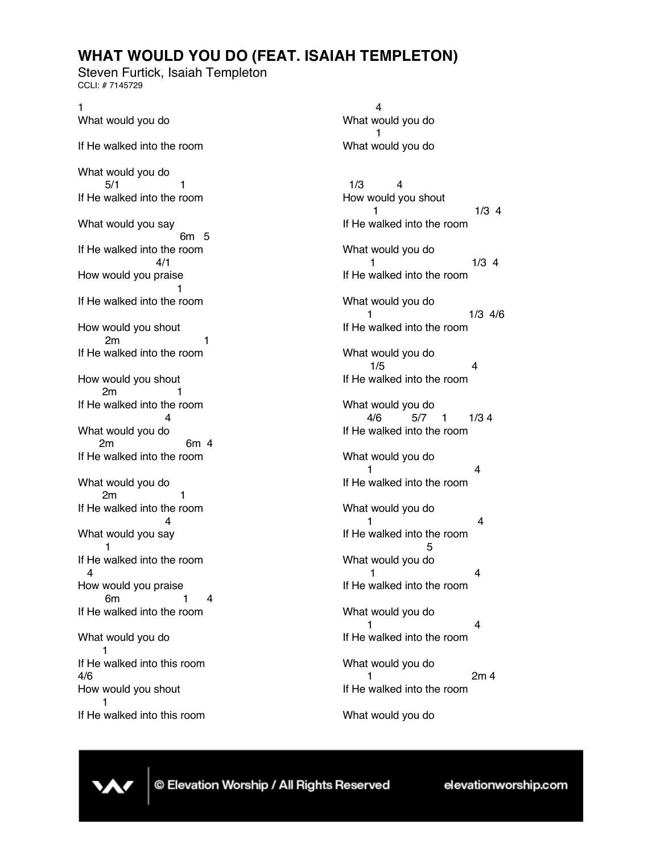## **WHAT WOULD YOU DO (FEAT. ISAIAH TEMPLETON)**

Steven Furtick, Isaiah Templeton CCLI: # 7145729

1 What would you do If He walked into the room What would you do  $5/1$  1 If He walked into the room What would you say 6m 5 If He walked into the room 4/1 How would you praise 1 If He walked into the room How would you shout 2m 1 If He walked into the room How would you shout 2m 1 If He walked into the room 4 What would you do 2m 6m 4 If He walked into the room What would you do 2m 1 If He walked into the room 4 What would you say 1 If He walked into the room 4 How would you praise 6m 1 4 If He walked into the room What would you do 1 If He walked into this room 4/6 How would you shout 1 If He walked into this room

4 What would you do 1 What would you do 1/3 4 How would you shout  $1/3$  4 If He walked into the room What would you do 1 1/3 4 If He walked into the room What would you do 1 1/3 4/6 If He walked into the room What would you do  $1/5$  4 If He walked into the room What would you do 4/6 5/7 1 1/3 4 If He walked into the room What would you do 1 4 If He walked into the room What would you do 1 4 If He walked into the room 5 What would you do 1 4 If He walked into the room What would you do 1 4 If He walked into the room What would you do 2m 4 If He walked into the room What would you do

© Elevation Worship / All Rights Reserved